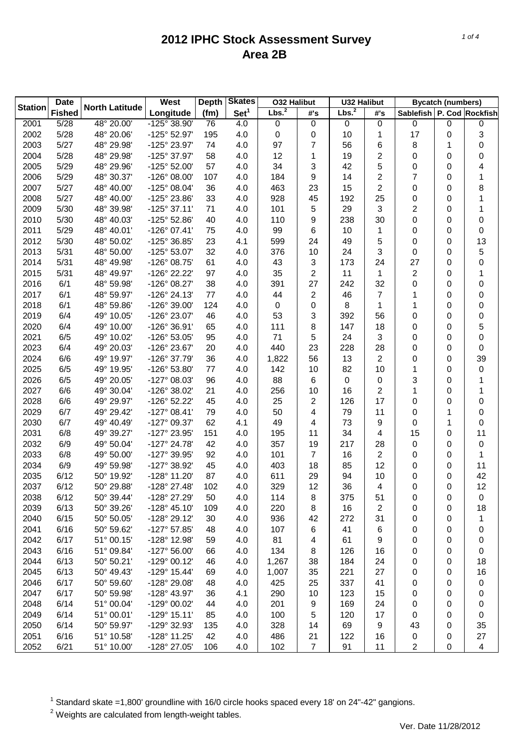| <b>Date</b><br><b>Station</b> |               | <b>North Latitude</b>   | West                  | <b>Depth</b> | <b>Skates</b>    | <b>O32 Halibut</b> |                  | <b>U32 Halibut</b> |     | <b>Bycatch (numbers)</b>  |           |                  |
|-------------------------------|---------------|-------------------------|-----------------------|--------------|------------------|--------------------|------------------|--------------------|-----|---------------------------|-----------|------------------|
|                               | <b>Fished</b> |                         | Longitude             | (fm)         | Set <sup>1</sup> | Lbs. <sup>2</sup>  | #'s              | Lbs. <sup>2</sup>  | #'s | Sablefish P. Cod Rockfish |           |                  |
| 2001                          | 5/28          | $\frac{1}{48}$ ° 20.00' | -125° 38.90'          | 76           | 4.0              | $\boldsymbol{0}$   | $\boldsymbol{0}$ | 0                  | 0   | 0                         | $\pmb{0}$ | 0                |
| 2002                          | 5/28          | 48° 20.06'              | -125° 52.97'          | 195          | 4.0              | 0                  | 0                | 10                 | 1   | 17                        | 0         | 3                |
| 2003                          | 5/27          | 48° 29.98'              | -125° 23.97'          | 74           | 4.0              | 97                 | 7                | 56                 | 6   | 8                         | 1         | 0                |
| 2004                          | 5/28          | 48° 29.98'              | -125° 37.97'          | 58           | 4.0              | 12                 | 1                | 19                 | 2   | 0                         | 0         | 0                |
| 2005                          | 5/29          | 48° 29.96'              | $-125^{\circ}$ 52.00' | 57           | 4.0              | 34                 | 3                | 42                 | 5   | 0                         | 0         | 4                |
| 2006                          | 5/29          | 48° 30.37'              | -126° 08.00'          | 107          | 4.0              | 184                | 9                | 14                 | 2   | 7                         | 0         | 1                |
| 2007                          | 5/27          | 48° 40.00'              | -125° 08.04'          | 36           | 4.0              | 463                | 23               | 15                 | 2   | 0                         | 0         | 8                |
| 2008                          | 5/27          | 48° 40.00'              | -125° 23.86'          | 33           | 4.0              | 928                | 45               | 192                | 25  | 0                         | 0         | 1                |
| 2009                          | 5/30          | 48° 39.98'              | $-125^{\circ}$ 37.11' | 71           | 4.0              | 101                | 5                | 29                 | 3   | $\overline{c}$            | 0         | 1                |
| 2010                          | 5/30          | 48° 40.03'              | $-125^{\circ}$ 52.86' | 40           | 4.0              | 110                | 9                | 238                | 30  | 0                         | 0         | 0                |
| 2011                          | 5/29          | 48° 40.01'              | $-126^{\circ}$ 07.41' | 75           | 4.0              | 99                 | 6                | 10                 | 1   | 0                         | 0         | 0                |
| 2012                          | 5/30          | 48° 50.02'              | -125° 36.85'          | 23           | 4.1              | 599                | 24               | 49                 | 5   | 0                         | 0         | 13               |
| 2013                          | 5/31          | 48° 50.00'              | -125° 53.07'          | 32           | 4.0              | 376                | 10               | 24                 | 3   | 0                         | 0         | 5                |
| 2014                          | 5/31          | 48° 49.98'              | -126° 08.75'          | 61           | 4.0              | 43                 | 3                | 173                | 24  | 27                        | 0         | 0                |
| 2015                          | 5/31          | 48° 49.97'              | -126° 22.22'          | 97           | 4.0              | 35                 | 2                | 11                 | 1   | $\overline{2}$            | 0         | 1                |
| 2016                          | 6/1           | 48° 59.98'              | -126° 08.27'          | 38           | 4.0              | 391                | 27               | 242                | 32  | 0                         | 0         | 0                |
| 2017                          | 6/1           | 48° 59.97'              | $-126^{\circ} 24.13'$ | 77           | 4.0              | 44                 | 2                | 46                 | 7   | 1                         | 0         | 0                |
| 2018                          | 6/1           | 48° 59.86'              | -126° 39.00'          | 124          | 4.0              | 0                  | 0                | 8                  | 1   | 1                         | 0         | 0                |
| 2019                          | 6/4           | 49° 10.05'              | -126° 23.07'          | 46           | 4.0              | 53                 | 3                | 392                | 56  | 0                         | 0         | 0                |
| 2020                          | 6/4           | 49° 10.00'              | -126° 36.91'          | 65           | 4.0              | 111                | 8                | 147                | 18  | 0                         | 0         | 5                |
| 2021                          | 6/5           | 49° 10.02'              | -126° 53.05'          | 95           | 4.0              | 71                 | 5                | 24                 | 3   | 0                         | 0         | 0                |
| 2023                          | 6/4           | 49° 20.03'              | -126° 23.67'          | 20           | 4.0              | 440                | 23               | 228                | 28  | 0                         | 0         | 0                |
| 2024                          | 6/6           | 49° 19.97'              | -126° 37.79'          | 36           | 4.0              | 1,822              | 56               | 13                 | 2   | 0                         | 0         | 39               |
| 2025                          | 6/5           | 49° 19.95'              | -126° 53.80'          | 77           | 4.0              | 142                | 10               | 82                 | 10  | 1                         | 0         | $\boldsymbol{0}$ |
| 2026                          | 6/5           | 49° 20.05'              | -127° 08.03'          | 96           | 4.0              | 88                 |                  | 0                  |     | 3                         |           | 1                |
|                               | 6/6           |                         |                       |              |                  |                    | 6                |                    | 0   |                           | 0         |                  |
| 2027                          |               | 49° 30.04'              | -126° 38.02'          | 21           | 4.0              | 256                | 10               | 16                 | 2   | 1                         | 0         | 1                |
| 2028                          | 6/6           | 49° 29.97'              | -126° 52.22'          | 45           | 4.0              | 25                 | 2                | 126                | 17  | 0                         | 0         | 0                |
| 2029                          | 6/7           | 49° 29.42'              | $-127^{\circ}$ 08.41' | 79           | 4.0              | 50                 | 4                | 79                 | 11  | 0                         | 1         | 0                |
| 2030                          | 6/7           | 49° 40.49'              | -127° 09.37'          | 62           | 4.1              | 49                 | 4                | 73                 | 9   | 0                         | 1         | 0                |
| 2031                          | 6/8           | 49° 39.27'              | -127° 23.95'          | 151          | 4.0              | 195                | 11               | 34                 | 4   | 15                        | 0         | 11               |
| 2032                          | 6/9           | 49° 50.04'              | $-127^{\circ}$ 24.78' | 42           | 4.0              | 357                | 19               | 217                | 28  | $\pmb{0}$                 | 0         | $\boldsymbol{0}$ |
| 2033                          | 6/8           | 49° 50.00'              | -127° 39.95'          | 92           | 4.0              | 101                | 7                | 16                 | 2   | 0                         | 0         | 1                |
| 2034                          | 6/9           | 49° 59.98'              | -127° 38.92'          | 45           | 4.0              | 403                | 18               | 85                 | 12  | 0                         | 0         | 11               |
| 2035                          | 6/12          | 50° 19.92'              | -128° 11.20'          | 87           | 4.0              | 611                | 29               | 94                 | 10  | 0                         | 0         | 42               |
| 2037                          | 6/12          | 50° 29.88'              | -128° 27.48'          | 102          | 4.0              | 329                | 12               | 36                 | 4   | 0                         | 0         | 12               |
| 2038                          | 6/12          | 50° 39.44'              | -128° 27.29'          | 50           | 4.0              | 114                | 8                | 375                | 51  | 0                         | 0         | 0                |
| 2039                          | 6/13          | 50° 39.26'              | -128° 45.10'          | 109          | 4.0              | 220                | 8                | 16                 | 2   | 0                         | 0         | 18               |
| 2040                          | 6/15          | 50° 50.05'              | -128° 29.12'          | 30           | 4.0              | 936                | 42               | 272                | 31  | 0                         | 0         | 1                |
| 2041                          | 6/16          | 50° 59.62'              | $-127^{\circ}57.85'$  | 48           | 4.0              | 107                | 6                | 41                 | 6   | 0                         | 0         | 0                |
| 2042                          | 6/17          | 51° 00.15'              | -128° 12.98'          | 59           | 4.0              | 81                 | 4                | 61                 | 9   | 0                         | 0         | 0                |
| 2043                          | 6/16          | 51° 09.84'              | $-127^{\circ} 56.00'$ | 66           | 4.0              | 134                | 8                | 126                | 16  | 0                         | 0         | 0                |
| 2044                          | 6/13          | 50° 50.21'              | $-129°00.12'$         | 46           | 4.0              | 1,267              | 38               | 184                | 24  | 0                         | 0         | 18               |
| 2045                          | 6/13          | 50° 49.43'              | -129° 15.44'          | 69           | 4.0              | 1,007              | 35               | 221                | 27  | 0                         | 0         | 16               |
| 2046                          | 6/17          | 50° 59.60'              | -128° 29.08'          | 48           | 4.0              | 425                | 25               | 337                | 41  | 0                         | 0         | 0                |
| 2047                          | 6/17          | 50° 59.98'              | -128° 43.97'          | 36           | 4.1              | 290                | 10               | 123                | 15  | 0                         | 0         | 0                |
| 2048                          | 6/14          | 51° 00.04'              | -129° 00.02'          | 44           | 4.0              | 201                | 9                | 169                | 24  | 0                         | 0         | 0                |
| 2049                          | 6/14          | 51° 00.01'              | $-129°$ 15.11'        | 85           | 4.0              | 100                | 5                | 120                | 17  | 0                         | 0         | 0                |
| 2050                          | 6/14          | 50° 59.97'              | -129° 32.93'          | 135          | 4.0              | 328                | 14               | 69                 | 9   | 43                        | 0         | 35               |
| 2051                          | 6/16          | 51° 10.58'              | -128° 11.25'          | 42           | 4.0              | 486                | 21               | 122                | 16  | $\pmb{0}$                 | 0         | 27               |
| 2052                          | 6/21          | 51° 10.00'              | -128° 27.05'          | 106          | 4.0              | 102                | $\overline{7}$   | 91                 | 11  | $\overline{2}$            | 0         | 4                |

 $1$  Standard skate =1,800' groundline with 16/0 circle hooks spaced every 18' on 24"-42" gangions.

 $2$  Weights are calculated from length-weight tables.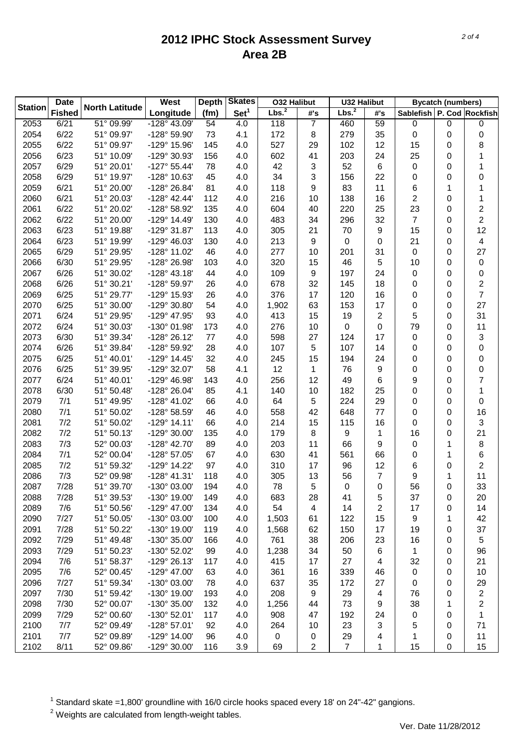| <b>Date</b><br><b>Station</b> |               | <b>North Latitude</b> | West                 | <b>Skates</b><br><b>Depth</b> |                  | <b>O32 Halibut</b> |     | <b>U32 Halibut</b> |     | <b>Bycatch (numbers)</b>  |           |                |
|-------------------------------|---------------|-----------------------|----------------------|-------------------------------|------------------|--------------------|-----|--------------------|-----|---------------------------|-----------|----------------|
|                               | <b>Fished</b> |                       | Longitude            | (fm)                          | Set <sup>1</sup> | Lbs. <sup>2</sup>  | #'s | Lbs. <sup>2</sup>  | #'s | Sablefish P. Cod Rockfish |           |                |
| 2053                          | 6/21          | 51° 09.99'            | -128° 43.09'         | 54                            | 4.0              | 118                | 7   | 460                | 59  | 0                         | $\pmb{0}$ | 0              |
| 2054                          | 6/22          | 51° 09.97'            | -128° 59.90'         | 73                            | 4.1              | 172                | 8   | 279                | 35  | 0                         | 0         | 0              |
| 2055                          | 6/22          | 51° 09.97'            | -129° 15.96'         | 145                           | 4.0              | 527                | 29  | 102                | 12  | 15                        | 0         | 8              |
| 2056                          | 6/23          | 51° 10.09'            | -129° 30.93'         | 156                           | 4.0              | 602                | 41  | 203                | 24  | 25                        | 0         | 1              |
| 2057                          | 6/29          | 51° 20.01'            | $-127^{\circ}55.44'$ | 78                            | 4.0              | 42                 | 3   | 52                 | 6   | $\boldsymbol{0}$          | 0         | 1              |
| 2058                          | 6/29          | 51° 19.97'            | -128° 10.63'         | 45                            | 4.0              | 34                 | 3   | 156                | 22  | 0                         | 0         | 0              |
| 2059                          | 6/21          | 51° 20.00'            | -128° 26.84'         | 81                            | 4.0              | 118                | 9   | 83                 | 11  | 6                         | 1         | 1              |
| 2060                          | 6/21          | 51° 20.03'            | $-128°$ 42.44'       | 112                           | 4.0              | 216                | 10  | 138                | 16  | 2                         | 0         | 1              |
| 2061                          | 6/22          | 51° 20.02'            | -128° 58.92'         | 135                           | 4.0              | 604                | 40  | 220                | 25  | 23                        | 0         | 2              |
| 2062                          | 6/22          | 51° 20.00'            | -129° 14.49'         | 130                           | 4.0              | 483                | 34  | 296                | 32  | $\overline{7}$            | 0         | $\overline{2}$ |
| 2063                          | 6/23          | 51° 19.88'            | -129° 31.87'         | 113                           | 4.0              | 305                | 21  | 70                 | 9   | 15                        | 0         | 12             |
| 2064                          | 6/23          | 51° 19.99'            | -129° 46.03'         | 130                           | 4.0              | 213                | 9   | 0                  | 0   | 21                        | 0         | 4              |
| 2065                          | 6/29          | 51° 29.95'            | -128° 11.02'         | 46                            | 4.0              | 277                | 10  | 201                | 31  | $\boldsymbol{0}$          | 0         | 27             |
| 2066                          | 6/30          | 51° 29.95'            | -128° 26.98'         | 103                           | 4.0              | 320                | 15  | 46                 | 5   | 10                        | 0         | 0              |
| 2067                          | 6/26          | 51° 30.02'            | $-128°$ 43.18'       | 44                            | 4.0              | 109                | 9   | 197                | 24  | 0                         | 0         | 0              |
| 2068                          | 6/26          | 51° 30.21'            | -128° 59.97'         | 26                            | 4.0              | 678                | 32  | 145                | 18  | 0                         | 0         | 2              |
| 2069                          | 6/25          | 51° 29.77'            | -129° 15.93'         | 26                            | 4.0              | 376                | 17  | 120                | 16  | 0                         | 0         | $\overline{7}$ |
| 2070                          | 6/25          | 51° 30.00'            | -129° 30.80'         | 54                            | 4.0              | 1,902              | 63  | 153                | 17  | 0                         | 0         | 27             |
| 2071                          | 6/24          | 51° 29.95'            | -129° 47.95'         | 93                            | 4.0              | 413                | 15  | 19                 | 2   | 5                         | 0         | 31             |
| 2072                          | 6/24          | 51° 30.03'            | -130° 01.98'         | 173                           | 4.0              | 276                | 10  | 0                  | 0   | 79                        | 0         | 11             |
| 2073                          | 6/30          | 51° 39.34'            | -128° 26.12'         | 77                            | 4.0              | 598                | 27  | 124                | 17  | 0                         | 0         | 3              |
| 2074                          | 6/26          | 51° 39.84'            | -128° 59.92'         | 28                            | 4.0              | 107                | 5   | 107                | 14  | 0                         | 0         | 0              |
| 2075                          | 6/25          | 51° 40.01'            | -129° 14.45'         | 32                            | 4.0              | 245                | 15  | 194                | 24  | 0                         | 0         | 0              |
| 2076                          | 6/25          | 51° 39.95'            | -129° 32.07'         | 58                            | 4.1              | 12                 | 1   | 76                 | 9   | 0                         | 0         | 0              |
| 2077                          | 6/24          | 51° 40.01'            | -129° 46.98'         |                               |                  |                    | 12  | 49                 |     |                           |           |                |
|                               |               |                       |                      | 143                           | 4.0              | 256                |     |                    | 6   | 9                         | 0         | 7              |
| 2078                          | 6/30          | 51° 50.48'            | -128° 26.04'         | 85                            | 4.1              | 140                | 10  | 182                | 25  | 0                         | 0         | 1              |
| 2079                          | 7/1           | 51° 49.95'            | -128° 41.02'         | 66                            | 4.0              | 64                 | 5   | 224                | 29  | 0                         | 0         | 0              |
| 2080                          | 7/1           | 51° 50.02'            | -128° 58.59'         | 46                            | 4.0              | 558                | 42  | 648                | 77  | 0                         | 0         | 16             |
| 2081                          | 7/2           | 51° 50.02'            | $-129°$ 14.11'       | 66                            | 4.0              | 214                | 15  | 115                | 16  | 0                         | 0         | 3              |
| 2082                          | 7/2           | 51° 50.13'            | -129° 30.00'         | 135                           | 4.0              | 179                | 8   | 9                  | 1   | 16                        | 0         | 21             |
| 2083                          | 7/3           | 52° 00.03'            | -128° 42.70'         | 89                            | 4.0              | 203                | 11  | 66                 | 9   | 0                         | 1         | 8              |
| 2084                          | 7/1           | 52° 00.04'            | -128° 57.05'         | 67                            | 4.0              | 630                | 41  | 561                | 66  | 0                         | 1         | 6              |
| 2085                          | 7/2           | 51° 59.32'            | -129° 14.22'         | 97                            | 4.0              | 310                | 17  | 96                 | 12  | 6                         | 0         | $\overline{2}$ |
| 2086                          | 7/3           | 52° 09.98'            | $-128°$ 41.31'       | 118                           | 4.0              | 305                | 13  | 56                 | 7   | 9                         | 1         | 11             |
| 2087                          | 7/28          | 51° 39.70'            | -130° 03.00'         | 194                           | 4.0              | 78                 | 5   | 0                  | 0   | 56                        | 0         | 33             |
| 2088                          | 7/28          | 51° 39.53'            | -130° 19.00'         | 149                           | 4.0              | 683                | 28  | 41                 | 5   | 37                        | 0         | 20             |
| 2089                          | 7/6           | 51° 50.56'            | -129° 47.00'         | 134                           | 4.0              | 54                 | 4   | 14                 | 2   | 17                        | 0         | 14             |
| 2090                          | 7/27          | 51° 50.05'            | -130° 03.00'         | 100                           | 4.0              | 1,503              | 61  | 122                | 15  | 9                         | 1         | 42             |
| 2091                          | 7/28          | 51° 50.22'            | -130° 19.00'         | 119                           | 4.0              | 1,568              | 62  | 150                | 17  | 19                        | 0         | 37             |
| 2092                          | 7/29          | 51° 49.48'            | -130° 35.00'         | 166                           | 4.0              | 761                | 38  | 206                | 23  | 16                        | 0         | 5              |
| 2093                          | 7/29          | 51° 50.23'            | -130° 52.02'         | 99                            | 4.0              | 1,238              | 34  | 50                 | 6   | 1                         | 0         | 96             |
| 2094                          | 7/6           | 51° 58.37'            | -129° 26.13'         | 117                           | 4.0              | 415                | 17  | 27                 | 4   | 32                        | 0         | 21             |
| 2095                          | 7/6           | 52° 00.45'            | -129° 47.00'         | 63                            | 4.0              | 361                | 16  | 339                | 46  | 0                         | 0         | 10             |
| 2096                          | 7/27          | 51° 59.34'            | -130° 03.00'         | 78                            | 4.0              | 637                | 35  | 172                | 27  | 0                         | 0         | 29             |
| 2097                          | 7/30          | 51° 59.42'            | -130° 19.00'         | 193                           | 4.0              | 208                | 9   | 29                 | 4   | 76                        | 0         | 2              |
| 2098                          | 7/30          | 52° 00.07'            | -130° 35.00'         | 132                           | 4.0              | 1,256              | 44  | 73                 | 9   | 38                        | 1         | 2              |
| 2099                          | 7/29          | 52° 00.60'            | -130° 52.01'         | 117                           | 4.0              | 908                | 47  | 192                | 24  | 0                         | 0         | 1              |
| 2100                          | 7/7           | 52° 09.49'            | -128° 57.01'         | 92                            | 4.0              | 264                | 10  | 23                 | 3   | 5                         | 0         | 71             |
| 2101                          | 7/7           | 52° 09.89'            | -129° 14.00'         | 96                            | 4.0              | $\,0\,$            | 0   | 29                 | 4   | 1                         | 0         | 11             |
| 2102                          | 8/11          | 52° 09.86'            | -129° 30.00'         | 116                           | 3.9              | 69                 | 2   | $\overline{7}$     | 1   | 15                        | 0         | 15             |

 $1$  Standard skate =1,800' groundline with 16/0 circle hooks spaced every 18' on 24"-42" gangions.

 $2$  Weights are calculated from length-weight tables.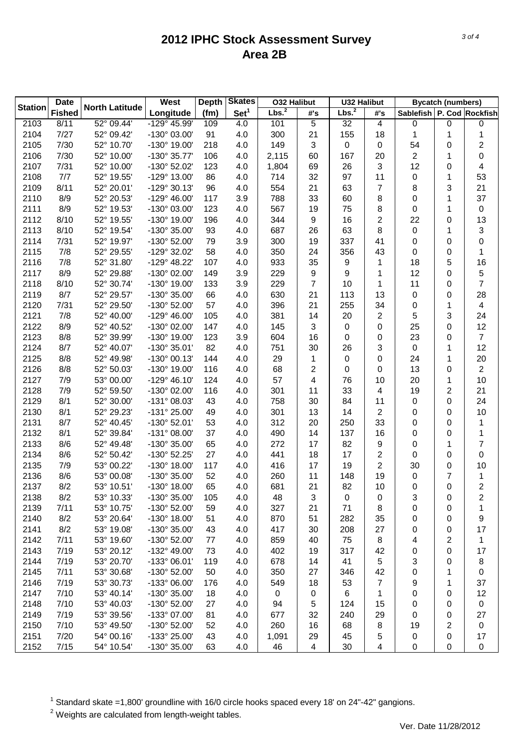|                | <b>Date</b>   |                       | West                         | <b>Skates</b><br><b>Depth</b> |                  | <b>O32 Halibut</b> |          | <b>U32 Halibut</b> |          | <b>Bycatch (numbers)</b>  |                |                |
|----------------|---------------|-----------------------|------------------------------|-------------------------------|------------------|--------------------|----------|--------------------|----------|---------------------------|----------------|----------------|
| <b>Station</b> | <b>Fished</b> | <b>North Latitude</b> | Longitude                    | (fm)                          | Set <sup>1</sup> | Lbs. <sup>2</sup>  | #'s      | Lbs. <sup>2</sup>  | #'s      | Sablefish P. Cod Rockfish |                |                |
| 2103           | 8/11          | 52° 09.44'            | -129° 45.99'                 | 109                           | 4.0              | 101                | 5        | 32                 | 4        | 0                         | $\pmb{0}$      | 0              |
| 2104           | 7/27          | 52° 09.42'            | -130° 03.00'                 | 91                            | 4.0              | 300                | 21       | 155                | 18       | 1                         | 1              | 1              |
| 2105           | 7/30          | 52° 10.70'            | -130° 19.00'                 | 218                           | 4.0              | 149                | 3        | 0                  | 0        | 54                        | 0              | 2              |
| 2106           | 7/30          | 52° 10.00'            | -130° 35.77'                 | 106                           | 4.0              | 2,115              | 60       | 167                | 20       | $\overline{2}$            | 1              | 0              |
| 2107           | 7/31          | 52° 10.00'            | -130° 52.02'                 | 123                           | 4.0              | 1,804              | 69       | 26                 | 3        | 12                        | 0              | 4              |
| 2108           | 7/7           | 52° 19.55'            | -129° 13.00'                 | 86                            | 4.0              | 714                | 32       | 97                 | 11       | 0                         | 1              | 53             |
| 2109           | 8/11          | 52° 20.01'            | $-129°30.13'$                | 96                            | 4.0              | 554                | 21       | 63                 | 7        | 8                         | 3              | 21             |
| 2110           | 8/9           | 52° 20.53'            | $-129^{\circ}$ 46.00'        | 117                           | 3.9              | 788                | 33       | 60                 | 8        | 0                         | 1              | 37             |
| 2111           | 8/9           | 52° 19.53'            | -130° 03.00'                 | 123                           | 4.0              | 567                | 19       | 75                 | 8        | 0                         | 1              | $\mathbf 0$    |
| 2112           | 8/10          | 52° 19.55'            | -130° 19.00'                 | 196                           | 4.0              | 344                | 9        | 16                 | 2        | 22                        | 0              | 13             |
| 2113           | 8/10          | 52° 19.54'            | -130° 35.00'                 | 93                            | 4.0              | 687                | 26       | 63                 | 8        | $\pmb{0}$                 | 1              | 3              |
| 2114           | 7/31          | 52° 19.97'            | -130° 52.00'                 | 79                            | 3.9              | 300                | 19       | 337                | 41       | 0                         | 0              | 0              |
| 2115           | 7/8           | 52° 29.55'            | -129° 32.02'                 | 58                            | 4.0              | 350                | 24       | 356                | 43       | 0                         | 0              | 1              |
| 2116           | 7/8           | 52° 31.80'            | -129° 48.22'                 | 107                           | 4.0              | 933                | 35       | 9                  | 1        | 18                        | 5              | 16             |
| 2117           | 8/9           | 52° 29.88'            | -130° 02.00'                 | 149                           | 3.9              | 229                | 9        | 9                  | 1        | 12                        | 0              | 5              |
| 2118           | 8/10          | 52° 30.74'            | -130° 19.00'                 | 133                           | 3.9              | 229                | 7        | 10                 | 1        | 11                        | 0              | 7              |
| 2119           | 8/7           | 52° 29.57'            | -130° 35.00'                 | 66                            | 4.0              | 630                | 21       | 113                | 13       | $\pmb{0}$                 | 0              | 28             |
| 2120           | 7/31          | 52° 29.50'            | -130° 52.00'                 | 57                            | 4.0              | 396                | 21       | 255                | 34       | 0                         | 1              | 4              |
| 2121           | 7/8           | 52° 40.00'            | $-129^{\circ}$ 46.00'        | 105                           | 4.0              | 381                | 14       | 20                 | 2        | 5                         | 3              | 24             |
| 2122           | 8/9           | 52° 40.52'            | -130° 02.00'                 | 147                           | 4.0              | 145                | 3        | 0                  | 0        | 25                        | 0              | 12             |
| 2123           | 8/8           | 52° 39.99'            | -130° 19.00'                 | 123                           | 3.9              | 604                | 16       | 0                  | 0        | 23                        | 0              | $\overline{7}$ |
| 2124           | 8/7           | 52° 40.07'            | -130° 35.01'                 | 82                            | 4.0              | 751                | 30       | 26                 | 3        | $\pmb{0}$                 | 1              | 12             |
| 2125           | 8/8           | 52° 49.98'            | -130° 00.13'                 | 144                           | 4.0              | 29                 | 1        | 0                  | 0        | 24                        | 1              | 20             |
| 2126           | 8/8           | 52° 50.03'            | -130° 19.00'                 | 116                           | 4.0              | 68                 | 2        | 0                  | 0        | 13                        | 0              | $\overline{2}$ |
| 2127           | 7/9           | 53° 00.00'            | $-129°$ 46.10                | 124                           | 4.0              | 57                 | 4        | 76                 | 10       | 20                        | 1              | 10             |
| 2128           | 7/9           | 52° 59.50'            | -130° 02.00'                 | 116                           | 4.0              | 301                | 11       | 33                 | 4        | 19                        | 2              | 21             |
| 2129           | 8/1           | 52° 30.00'            | -131° 08.03'                 | 43                            | 4.0              | 758                | 30       | 84                 | 11       | $\pmb{0}$                 | 0              | 24             |
| 2130           | 8/1           | 52° 29.23'            | -131° 25.00'                 | 49                            | 4.0              | 301                | 13       | 14                 | 2        | 0                         | 0              | 10             |
|                | 8/7           | 52° 40.45'            | -130° 52.01'                 |                               | 4.0              | 312                |          |                    |          |                           |                |                |
| 2131           | 8/1           | 52° 39.84'            | $-131^{\circ}$ 08.00         | 53                            | 4.0              |                    | 20<br>14 | 250<br>137         | 33<br>16 | 0                         | 0              | 1<br>1         |
| 2132           |               |                       |                              | 37                            |                  | 490                |          |                    |          | 0                         | 0              |                |
| 2133           | 8/6           | 52° 49.48'            | -130° 35.00'<br>-130° 52.25' | 65                            | 4.0              | 272                | 17       | 82                 | 9        | 0                         | 1              | 7              |
| 2134           | 8/6           | 52° 50.42'            |                              | 27                            | 4.0              | 441                | 18       | 17                 | 2        | 0                         | 0              | 0              |
| 2135           | 7/9           | 53° 00.22'            | -130° 18.00'                 | 117                           | 4.0              | 416                | 17       | 19                 | 2        | 30                        | 0              | 10             |
| 2136           | 8/6           | 53° 00.08'            | -130° 35.00'                 | 52                            | 4.0              | 260                | 11       | 148                | 19       | 0                         | $\overline{7}$ | 1              |
| 2137           | 8/2           | 53° 10.51'            | -130° 18.00'                 | 65                            | 4.0              | 681                | 21       | 82                 | 10       | 0                         | 0              | $\overline{c}$ |
| 2138           | 8/2           | 53° 10.33'            | -130° 35.00'                 | 105                           | 4.0              | 48                 | 3        | 0                  | 0        | 3                         | 0              | 2              |
| 2139           | 7/11          | 53° 10.75'            | -130° 52.00'                 | 59                            | 4.0              | 327                | 21       | 71                 | 8        | 0                         | 0              | 1              |
| 2140           | 8/2           | 53° 20.64'            | -130° 18.00'                 | 51                            | 4.0              | 870                | 51       | 282                | 35       | 0                         | 0              | 9              |
| 2141           | 8/2           | 53° 19.08'            | -130° 35.00'                 | 43                            | 4.0              | 417                | 30       | 208                | 27       | 0                         | 0              | 17             |
| 2142           | 7/11          | 53° 19.60'            | -130° 52.00'                 | 77                            | 4.0              | 859                | 40       | 75                 | 8        | 4                         | 2              | 1              |
| 2143           | 7/19          | 53° 20.12'            | -132° 49.00'                 | 73                            | 4.0              | 402                | 19       | 317                | 42       | 0                         | 0              | 17             |
| 2144           | 7/19          | 53° 20.70'            | -133° 06.01'                 | 119                           | 4.0              | 678                | 14       | 41                 | 5        | 3                         | 0              | 8              |
| 2145           | 7/11          | 53° 30.68'            | -130° 52.00'                 | 50                            | 4.0              | 350                | 27       | 346                | 42       | 0                         | 1              | 0              |
| 2146           | 7/19          | 53° 30.73'            | -133° 06.00'                 | 176                           | 4.0              | 549                | 18       | 53                 | 7        | 9                         | 1              | 37             |
| 2147           | 7/10          | 53° 40.14'            | -130° 35.00'                 | 18                            | 4.0              | $\pmb{0}$          | 0        | 6                  | 1        | 0                         | 0              | 12             |
| 2148           | 7/10          | 53° 40.03'            | -130° 52.00'                 | 27                            | 4.0              | 94                 | 5        | 124                | 15       | 0                         | 0              | 0              |
| 2149           | 7/19          | 53° 39.56'            | -133° 07.00'                 | 81                            | 4.0              | 677                | 32       | 240                | 29       | 0                         | 0              | 27             |
| 2150           | 7/10          | 53° 49.50'            | -130° 52.00'                 | 52                            | 4.0              | 260                | 16       | 68                 | 8        | 19                        | 2              | $\pmb{0}$      |
| 2151           | 7/20          | 54° 00.16'            | -133° 25.00'                 | 43                            | 4.0              | 1,091              | 29       | 45                 | 5        | $\pmb{0}$                 | 0              | 17             |
| 2152           | 7/15          | 54° 10.54'            | -130° 35.00'                 | 63                            | 4.0              | 46                 | 4        | 30                 | 4        | 0                         | 0              | 0              |

 $1$  Standard skate =1,800' groundline with 16/0 circle hooks spaced every 18' on 24"-42" gangions.

 $2$  Weights are calculated from length-weight tables.